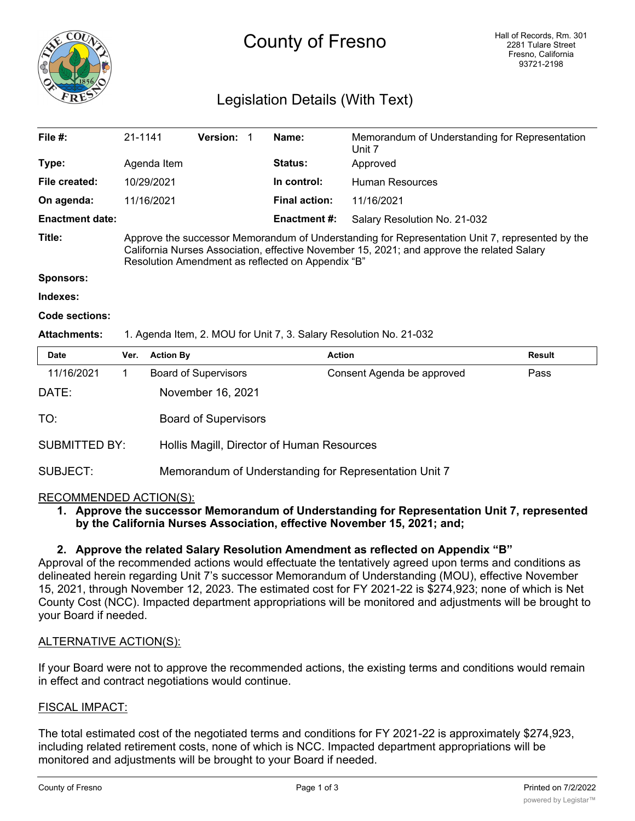

# County of Fresno

# Legislation Details (With Text)

| File $#$ :             | 21-1141                                                                                                                                                                                                                                            |                  | Version:                                   |  | Name:                | Memorandum of Understanding for Representation<br>Unit 7 |               |  |
|------------------------|----------------------------------------------------------------------------------------------------------------------------------------------------------------------------------------------------------------------------------------------------|------------------|--------------------------------------------|--|----------------------|----------------------------------------------------------|---------------|--|
| Type:                  | Agenda Item                                                                                                                                                                                                                                        |                  |                                            |  | Status:              | Approved<br><b>Human Resources</b>                       |               |  |
| File created:          | 10/29/2021                                                                                                                                                                                                                                         |                  |                                            |  | In control:          |                                                          |               |  |
| On agenda:             | 11/16/2021                                                                                                                                                                                                                                         |                  |                                            |  | <b>Final action:</b> | 11/16/2021                                               |               |  |
| <b>Enactment date:</b> |                                                                                                                                                                                                                                                    |                  |                                            |  | <b>Enactment #:</b>  | Salary Resolution No. 21-032                             |               |  |
| Title:                 | Approve the successor Memorandum of Understanding for Representation Unit 7, represented by the<br>California Nurses Association, effective November 15, 2021; and approve the related Salary<br>Resolution Amendment as reflected on Appendix "B" |                  |                                            |  |                      |                                                          |               |  |
| <b>Sponsors:</b>       |                                                                                                                                                                                                                                                    |                  |                                            |  |                      |                                                          |               |  |
| Indexes:               |                                                                                                                                                                                                                                                    |                  |                                            |  |                      |                                                          |               |  |
| Code sections:         |                                                                                                                                                                                                                                                    |                  |                                            |  |                      |                                                          |               |  |
| <b>Attachments:</b>    | 1. Agenda Item, 2. MOU for Unit 7, 3. Salary Resolution No. 21-032                                                                                                                                                                                 |                  |                                            |  |                      |                                                          |               |  |
| <b>Date</b>            | Ver.                                                                                                                                                                                                                                               | <b>Action By</b> |                                            |  |                      | <b>Action</b>                                            | <b>Result</b> |  |
| 11/16/2021             | 1                                                                                                                                                                                                                                                  |                  | <b>Board of Supervisors</b>                |  |                      | Consent Agenda be approved                               | Pass          |  |
| DATE:                  |                                                                                                                                                                                                                                                    |                  | November 16, 2021                          |  |                      |                                                          |               |  |
| TO:                    |                                                                                                                                                                                                                                                    |                  | <b>Board of Supervisors</b>                |  |                      |                                                          |               |  |
| <b>SUBMITTED BY:</b>   |                                                                                                                                                                                                                                                    |                  | Hollis Magill, Director of Human Resources |  |                      |                                                          |               |  |

### SUBJECT: Memorandum of Understanding for Representation Unit 7

#### RECOMMENDED ACTION(S):

#### **1. Approve the successor Memorandum of Understanding for Representation Unit 7, represented by the California Nurses Association, effective November 15, 2021; and;**

#### **2. Approve the related Salary Resolution Amendment as reflected on Appendix "B"**

Approval of the recommended actions would effectuate the tentatively agreed upon terms and conditions as delineated herein regarding Unit 7's successor Memorandum of Understanding (MOU), effective November 15, 2021, through November 12, 2023. The estimated cost for FY 2021-22 is \$274,923; none of which is Net County Cost (NCC). Impacted department appropriations will be monitored and adjustments will be brought to your Board if needed.

#### ALTERNATIVE ACTION(S):

If your Board were not to approve the recommended actions, the existing terms and conditions would remain in effect and contract negotiations would continue.

#### FISCAL IMPACT:

The total estimated cost of the negotiated terms and conditions for FY 2021-22 is approximately \$274,923, including related retirement costs, none of which is NCC. Impacted department appropriations will be monitored and adjustments will be brought to your Board if needed.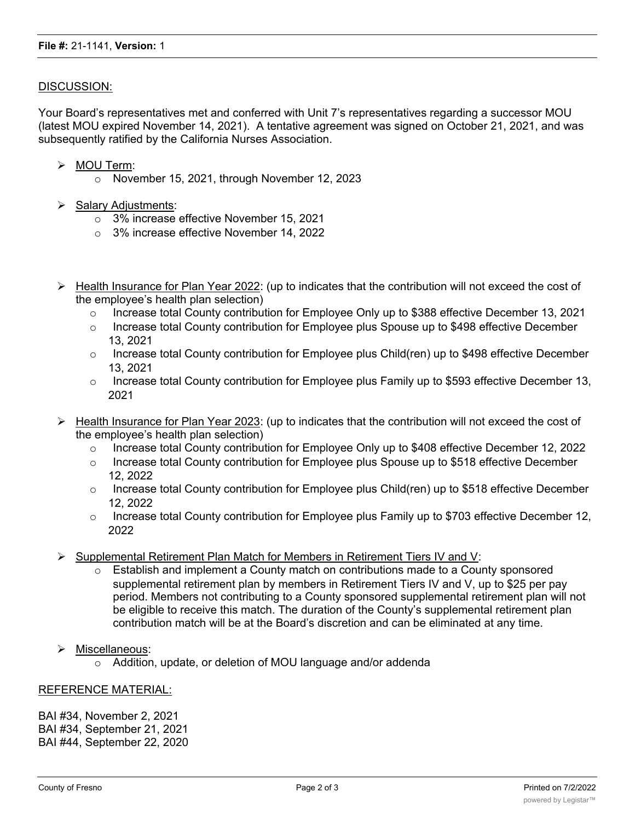#### DISCUSSION:

Your Board's representatives met and conferred with Unit 7's representatives regarding a successor MOU (latest MOU expired November 14, 2021). A tentative agreement was signed on October 21, 2021, and was subsequently ratified by the California Nurses Association.

- Ø MOU Term:
	- o November 15, 2021, through November 12, 2023
- $\triangleright$  Salary Adjustments:
	- o 3% increase effective November 15, 2021
	- o 3% increase effective November 14, 2022
- $\triangleright$  Health Insurance for Plan Year 2022: (up to indicates that the contribution will not exceed the cost of the employee's health plan selection)
	- o Increase total County contribution for Employee Only up to \$388 effective December 13, 2021
	- o Increase total County contribution for Employee plus Spouse up to \$498 effective December 13, 2021
	- o Increase total County contribution for Employee plus Child(ren) up to \$498 effective December 13, 2021
	- $\circ$  Increase total County contribution for Employee plus Family up to \$593 effective December 13, 2021
- Ø Health Insurance for Plan Year 2023: (up to indicates that the contribution will not exceed the cost of the employee's health plan selection)
	- o Increase total County contribution for Employee Only up to \$408 effective December 12, 2022
	- $\circ$  Increase total County contribution for Employee plus Spouse up to \$518 effective December 12, 2022
	- Increase total County contribution for Employee plus Child(ren) up to \$518 effective December 12, 2022
	- $\circ$  Increase total County contribution for Employee plus Family up to \$703 effective December 12, 2022
- $\triangleright$  Supplemental Retirement Plan Match for Members in Retirement Tiers IV and V:
	- $\circ$  Establish and implement a County match on contributions made to a County sponsored supplemental retirement plan by members in Retirement Tiers IV and V, up to \$25 per pay period. Members not contributing to a County sponsored supplemental retirement plan will not be eligible to receive this match. The duration of the County's supplemental retirement plan contribution match will be at the Board's discretion and can be eliminated at any time.
- Ø Miscellaneous:
	- o Addition, update, or deletion of MOU language and/or addenda

#### REFERENCE MATERIAL:

BAI #34, November 2, 2021 BAI #34, September 21, 2021 BAI #44, September 22, 2020